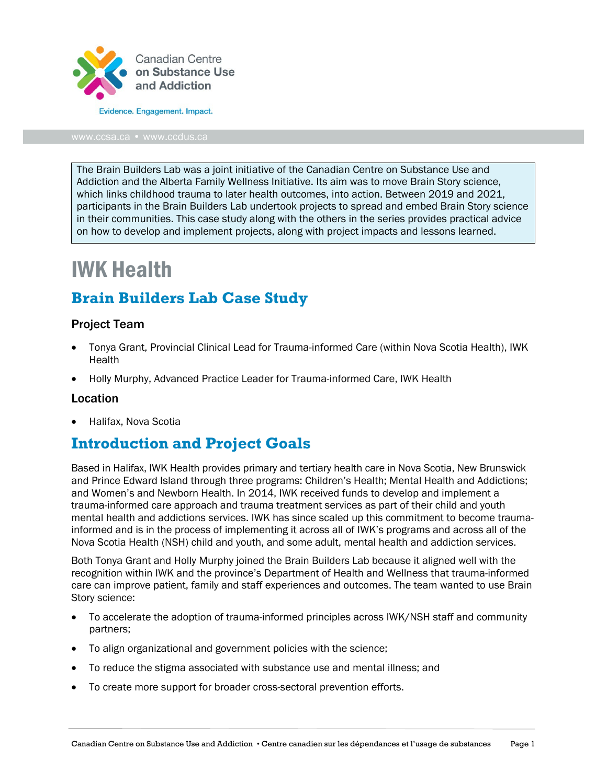

The Brain Builders Lab was a joint initiative of the Canadian Centre on Substance Use and Addiction and the Alberta Family Wellness Initiative. Its aim was to move Brain Story science, which links childhood trauma to later health outcomes, into action. Between 2019 and 2021, participants in the Brain Builders Lab undertook projects to spread and embed Brain Story science in their communities. This case study along with the others in the series provides practical advice on how to develop and implement projects, along with project impacts and lessons learned.

# IWK Health

# **Brain Builders Lab Case Study**

#### Project Team

- Tonya Grant, Provincial Clinical Lead for Trauma-informed Care (within Nova Scotia Health), IWK **Health**
- Holly Murphy, Advanced Practice Leader for Trauma-informed Care, IWK Health

#### Location

• Halifax, Nova Scotia

## **Introduction and Project Goals**

Based in Halifax, IWK Health provides primary and tertiary health care in Nova Scotia, New Brunswick and Prince Edward Island through three programs: Children's Health; Mental Health and Addictions; and Women's and Newborn Health. In 2014, IWK received funds to develop and implement a trauma-informed care approach and trauma treatment services as part of their child and youth mental health and addictions services. IWK has since scaled up this commitment to become traumainformed and is in the process of implementing it across all of IWK's programs and across all of the Nova Scotia Health (NSH) child and youth, and some adult, mental health and addiction services.

Both Tonya Grant and Holly Murphy joined the Brain Builders Lab because it aligned well with the recognition within IWK and the province's Department of Health and Wellness that trauma-informed care can improve patient, family and staff experiences and outcomes. The team wanted to use Brain Story science:

- To accelerate the adoption of trauma-informed principles across IWK/NSH staff and community partners;
- To align organizational and government policies with the science;
- To reduce the stigma associated with substance use and mental illness; and
- To create more support for broader cross-sectoral prevention efforts.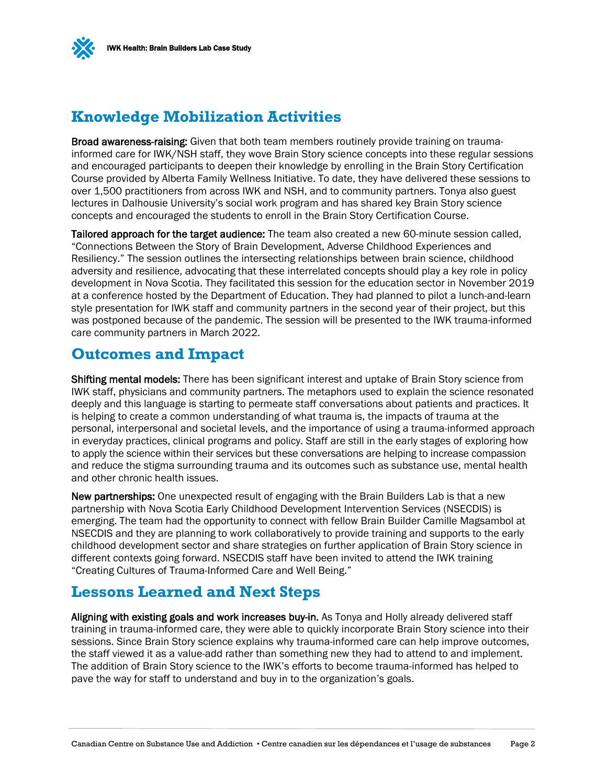

## **Knowledge Mobilization Activities**

Broad awareness-raising: Given that both team members routinely provide training on traumainformed care for IWK/NSH staff, they wove Brain Story science concepts into these regular sessions and encouraged participants to deepen their knowledge by enrolling in the Brain Story Certification Course provided by Alberta Family Wellness Initiative. To date, they have delivered these sessions to over 1,500 practitioners from across IWK and NSH, and to community partners. Tonya also guest lectures in Dalhousie University's social work program and has shared key Brain Story science concepts and encouraged the students to enroll in the Brain Story Certification Course.

Tailored approach for the target audience: The team also created a new 60-minute session called, "Connections Between the Story of Brain Development, Adverse Childhood Experiences and Resiliency." The session outlines the intersecting relationships between brain science, childhood adversity and resilience, advocating that these interrelated concepts should play a key role in policy development in Nova Scotia. They facilitated this session for the education sector in November 2019 at a conference hosted by the Department of Education. They had planned to pilot a lunch-and-learn style presentation for IWK staff and community partners in the second year of their project, but this was postponed because of the pandemic. The session will be presented to the IWK trauma-informed care community partners in March 2022.

## **Outcomes and Impact**

Shifting mental models: There has been significant interest and uptake of Brain Story science from IWK staff, physicians and community partners. The metaphors used to explain the science resonated deeply and this language is starting to permeate staff conversations about patients and practices. It is helping to create a common understanding of what trauma is, the impacts of trauma at the personal, interpersonal and societal levels, and the importance of using a trauma-informed approach in everyday practices, clinical programs and policy. Staff are still in the early stages of exploring how to apply the science within their services but these conversations are helping to increase compassion and reduce the stigma surrounding trauma and its outcomes such as substance use, mental health and other chronic health issues.

New partnerships: One unexpected result of engaging with the Brain Builders Lab is that a new partnership with Nova Scotia Early Childhood Development Intervention Services (NSECDIS) is emerging. The team had the opportunity to connect with fellow Brain Builder Camille Magsambol at NSECDIS and they are planning to work collaboratively to provide training and supports to the early childhood development sector and share strategies on further application of Brain Story science in different contexts going forward. NSECDIS staff have been invited to attend the IWK training "Creating Cultures of Trauma-Informed Care and Well Being."

## **Lessons Learned and Next Steps**

Aligning with existing goals and work increases buy-in. As Tonya and Holly already delivered staff training in trauma-informed care, they were able to quickly incorporate Brain Story science into their sessions. Since Brain Story science explains why trauma-informed care can help improve outcomes, the staff viewed it as a value-add rather than something new they had to attend to and implement. The addition of Brain Story science to the IWK's efforts to become trauma-informed has helped to pave the way for staff to understand and buy in to the organization's goals.